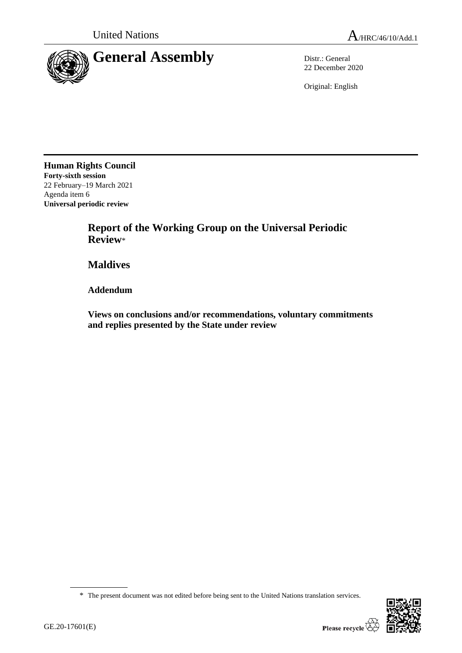

22 December 2020

Original: English

**Human Rights Council Forty-sixth session** 22 February–19 March 2021 Agenda item 6 **Universal periodic review**

> **Report of the Working Group on the Universal Periodic Review**\*

**Maldives**

**Addendum**

**Views on conclusions and/or recommendations, voluntary commitments and replies presented by the State under review**

<sup>\*</sup> The present document was not edited before being sent to the United Nations translation services.

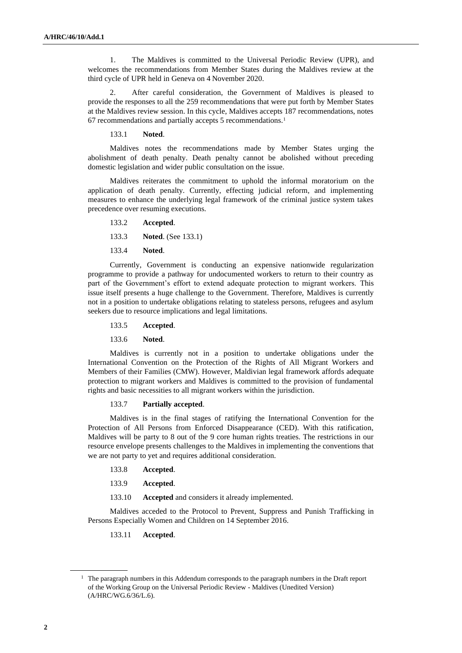1. The Maldives is committed to the Universal Periodic Review (UPR), and welcomes the recommendations from Member States during the Maldives review at the third cycle of UPR held in Geneva on 4 November 2020.

2. After careful consideration, the Government of Maldives is pleased to provide the responses to all the 259 recommendations that were put forth by Member States at the Maldives review session. In this cycle, Maldives accepts 187 recommendations, notes 67 recommendations and partially accepts 5 recommendations.<sup>1</sup>

133.1 **Noted**.

Maldives notes the recommendations made by Member States urging the abolishment of death penalty. Death penalty cannot be abolished without preceding domestic legislation and wider public consultation on the issue.

Maldives reiterates the commitment to uphold the informal moratorium on the application of death penalty. Currently, effecting judicial reform, and implementing measures to enhance the underlying legal framework of the criminal justice system takes precedence over resuming executions.

133.2 **Accepted**.

133.3 **Noted**. (See 133.1)

133.4 **Noted**.

Currently, Government is conducting an expensive nationwide regularization programme to provide a pathway for undocumented workers to return to their country as part of the Government's effort to extend adequate protection to migrant workers. This issue itself presents a huge challenge to the Government. Therefore, Maldives is currently not in a position to undertake obligations relating to stateless persons, refugees and asylum seekers due to resource implications and legal limitations.

## 133.5 **Accepted**.

133.6 **Noted**.

Maldives is currently not in a position to undertake obligations under the International Convention on the Protection of the Rights of All Migrant Workers and Members of their Families (CMW). However, Maldivian legal framework affords adequate protection to migrant workers and Maldives is committed to the provision of fundamental rights and basic necessities to all migrant workers within the jurisdiction.

133.7 **Partially accepted**.

Maldives is in the final stages of ratifying the International Convention for the Protection of All Persons from Enforced Disappearance (CED). With this ratification, Maldives will be party to 8 out of the 9 core human rights treaties. The restrictions in our resource envelope presents challenges to the Maldives in implementing the conventions that we are not party to yet and requires additional consideration.

133.8 **Accepted**.

133.9 **Accepted**.

133.10 **Accepted** and considers it already implemented.

Maldives acceded to the Protocol to Prevent, Suppress and Punish Trafficking in Persons Especially Women and Children on 14 September 2016.

133.11 **Accepted**.

 $<sup>1</sup>$  The paragraph numbers in this Addendum corresponds to the paragraph numbers in the Draft report</sup> of the Working Group on the Universal Periodic Review - Maldives (Unedited Version) (A/HRC/WG.6/36/L.6).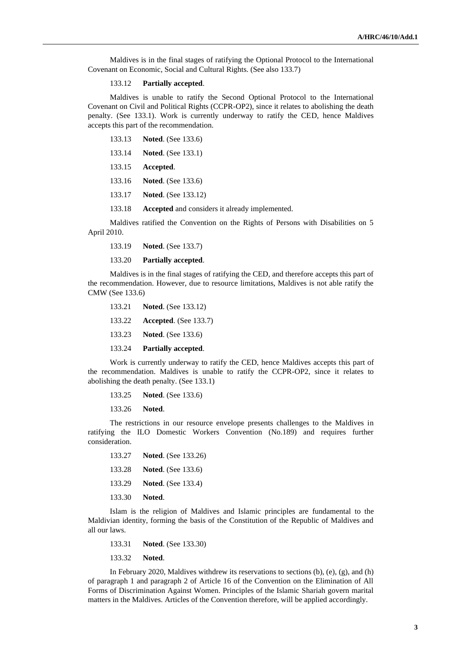Maldives is in the final stages of ratifying the Optional Protocol to the International Covenant on Economic, Social and Cultural Rights. (See also 133.7)

## 133.12 **Partially accepted**.

Maldives is unable to ratify the Second Optional Protocol to the International Covenant on Civil and Political Rights (CCPR-OP2), since it relates to abolishing the death penalty. (See 133.1). Work is currently underway to ratify the CED, hence Maldives accepts this part of the recommendation.

- 133.13 **Noted**. (See 133.6)
- 133.14 **Noted**. (See 133.1)
- 133.15 **Accepted**.
- 133.16 **Noted**. (See 133.6)
- 133.17 **Noted**. (See 133.12)
- 133.18 **Accepted** and considers it already implemented.

Maldives ratified the Convention on the Rights of Persons with Disabilities on 5 April 2010.

- 133.19 **Noted**. (See 133.7)
- 133.20 **Partially accepted**.

Maldives is in the final stages of ratifying the CED, and therefore accepts this part of the recommendation. However, due to resource limitations, Maldives is not able ratify the CMW (See 133.6)

133.21 **Noted**. (See 133.12) 133.22 **Accepted**. (See 133.7) 133.23 **Noted**. (See 133.6) 133.24 **Partially accepted**.

Work is currently underway to ratify the CED, hence Maldives accepts this part of the recommendation. Maldives is unable to ratify the CCPR-OP2, since it relates to abolishing the death penalty. (See 133.1)

- 133.25 **Noted**. (See 133.6)
- 133.26 **Noted**.

The restrictions in our resource envelope presents challenges to the Maldives in ratifying the ILO Domestic Workers Convention (No.189) and requires further consideration.

133.27 **Noted**. (See 133.26) 133.28 **Noted**. (See 133.6) 133.29 **Noted**. (See 133.4) 133.30 **Noted**.

Islam is the religion of Maldives and Islamic principles are fundamental to the Maldivian identity, forming the basis of the Constitution of the Republic of Maldives and all our laws.

- 133.31 **Noted**. (See 133.30)
- 133.32 **Noted**.

In February 2020, Maldives withdrew its reservations to sections (b), (e), (g), and (h) of paragraph 1 and paragraph 2 of Article 16 of the Convention on the Elimination of All Forms of Discrimination Against Women. Principles of the Islamic Shariah govern marital matters in the Maldives. Articles of the Convention therefore, will be applied accordingly.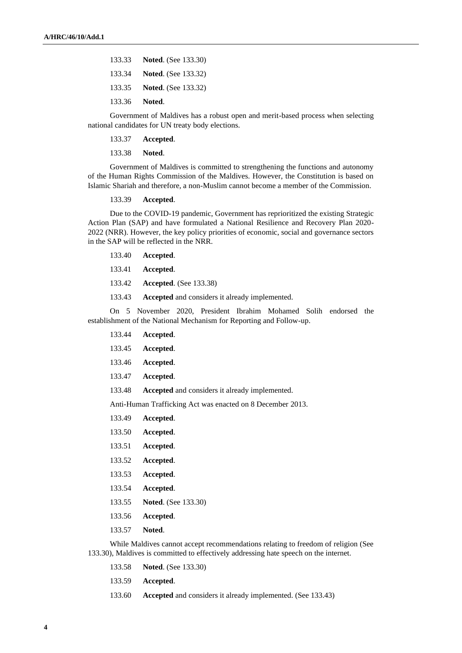|               | 133.33 Noted. (See 133.30)        |
|---------------|-----------------------------------|
|               | 133.34 <b>Noted.</b> (See 133.32) |
|               | 133.35 <b>Noted.</b> (See 133.32) |
| 133.36 Noted. |                                   |

Government of Maldives has a robust open and merit-based process when selecting national candidates for UN treaty body elections.

133.37 **Accepted**.

133.38 **Noted**.

Government of Maldives is committed to strengthening the functions and autonomy of the Human Rights Commission of the Maldives. However, the Constitution is based on Islamic Shariah and therefore, a non-Muslim cannot become a member of the Commission.

## 133.39 **Accepted**.

Due to the COVID-19 pandemic, Government has reprioritized the existing Strategic Action Plan (SAP) and have formulated a National Resilience and Recovery Plan 2020- 2022 (NRR). However, the key policy priorities of economic, social and governance sectors in the SAP will be reflected in the NRR.

- 133.40 **Accepted**.
- 133.41 **Accepted**.
- 133.42 **Accepted**. (See 133.38)
- 133.43 **Accepted** and considers it already implemented.

On 5 November 2020, President Ibrahim Mohamed Solih endorsed the establishment of the National Mechanism for Reporting and Follow-up.

- 133.44 **Accepted**.
- 133.45 **Accepted**.
- 133.46 **Accepted**.
- 133.47 **Accepted**.
- 133.48 **Accepted** and considers it already implemented.

Anti-Human Trafficking Act was enacted on 8 December 2013.

- 133.49 **Accepted**.
- 133.50 **Accepted**.
- 133.51 **Accepted**.
- 133.52 **Accepted**.
- 133.53 **Accepted**.
- 133.54 **Accepted**.
- 133.55 **Noted**. (See 133.30)
- 133.56 **Accepted**.
- 133.57 **Noted**.

While Maldives cannot accept recommendations relating to freedom of religion (See 133.30), Maldives is committed to effectively addressing hate speech on the internet.

- 133.58 **Noted**. (See 133.30)
- 133.59 **Accepted**.
- 133.60 **Accepted** and considers it already implemented. (See 133.43)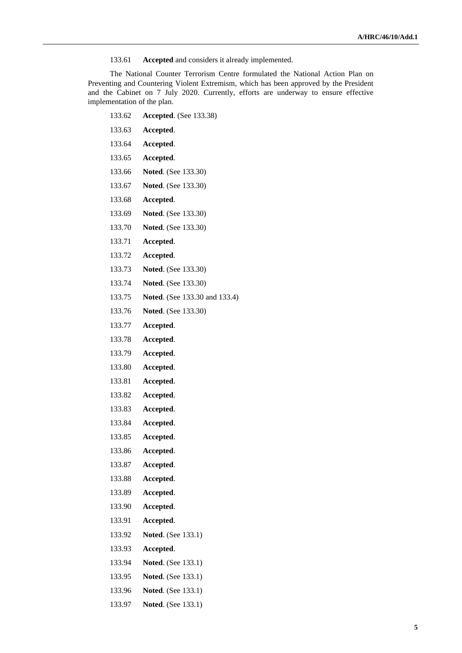133.61 **Accepted** and considers it already implemented.

The National Counter Terrorism Centre formulated the National Action Plan on Preventing and Countering Violent Extremism, which has been approved by the President and the Cabinet on 7 July 2020. Currently, efforts are underway to ensure effective implementation of the plan.

| 133.62 | Accepted. (See 133.38)        |
|--------|-------------------------------|
| 133.63 | Accepted.                     |
| 133.64 | Accepted.                     |
| 133.65 | Accepted.                     |
| 133.66 | <b>Noted.</b> (See 133.30)    |
| 133.67 | <b>Noted.</b> (See 133.30)    |
| 133.68 | Accepted.                     |
| 133.69 | <b>Noted.</b> (See 133.30)    |
| 133.70 | Noted. (See 133.30)           |
| 133.71 | Accepted.                     |
| 133.72 | Accepted.                     |
| 133.73 | <b>Noted.</b> (See 133.30)    |
| 133.74 | Noted. (See 133.30)           |
| 133.75 | Noted. (See 133.30 and 133.4) |
| 133.76 | Noted. (See 133.30)           |
| 133.77 | Accepted.                     |
| 133.78 | Accepted.                     |
| 133.79 | Accepted.                     |
| 133.80 | Accepted.                     |
| 133.81 | Accepted.                     |
| 133.82 | Accepted.                     |
| 133.83 | Accepted.                     |
| 133.84 | Accepted.                     |
| 133.85 | Accepted.                     |
| 133.86 | Accepted.                     |
| 133.87 | Accepted.                     |
| 133.88 | Accepted.                     |
| 133.89 | Accepted.                     |
| 133.90 | Accepted.                     |
| 133.91 | Accepted.                     |
| 133.92 | <b>Noted.</b> (See 133.1)     |
| 133.93 | Accepted.                     |
| 133.94 | <b>Noted.</b> (See 133.1)     |
| 133.95 | <b>Noted.</b> (See 133.1)     |
| 133.96 | <b>Noted.</b> (See 133.1)     |
| 133.97 | <b>Noted.</b> (See 133.1)     |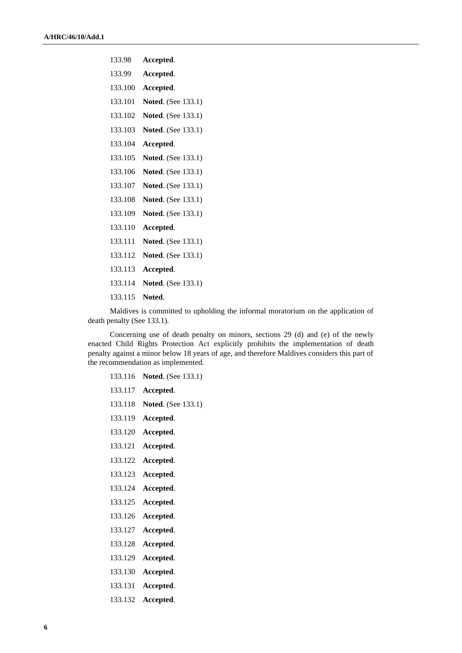| 133.98  | Accepted.                 |
|---------|---------------------------|
| 133.99  | Accepted.                 |
| 133.100 | Accepted.                 |
| 133.101 | Noted. (See 133.1)        |
| 133.102 | <b>Noted.</b> (See 133.1) |
| 133.103 | <b>Noted.</b> (See 133.1) |
| 133.104 | Accepted.                 |
| 133.105 | <b>Noted.</b> (See 133.1) |
| 133.106 | <b>Noted.</b> (See 133.1) |
| 133.107 | <b>Noted.</b> (See 133.1) |
| 133.108 | <b>Noted.</b> (See 133.1) |
| 133.109 | <b>Noted.</b> (See 133.1) |
| 133.110 | Accepted.                 |
| 133.111 | <b>Noted.</b> (See 133.1) |
| 133.112 | <b>Noted.</b> (See 133.1) |
| 133.113 | Accepted.                 |
| 133.114 | Noted. (See 133.1)        |
| 133.115 | Noted.                    |
|         |                           |

Maldives is committed to upholding the informal moratorium on the application of death penalty (See 133.1).

Concerning use of death penalty on minors, sections 29 (d) and (e) of the newly enacted Child Rights Protection Act explicitly prohibits the implementation of death penalty against a minor below 18 years of age, and therefore Maldives considers this part of the recommendation as implemented.

| 133.116 | <b>Noted.</b> (See 133.1) |
|---------|---------------------------|
| 133.117 | Accepted.                 |
| 133.118 | <b>Noted.</b> (See 133.1) |
| 133.119 | Accepted.                 |
| 133.120 | Accepted.                 |
| 133.121 | Accepted.                 |
| 133.122 | Accepted.                 |
| 133.123 | Accepted.                 |
| 133.124 | Accepted.                 |
| 133.125 | Accepted.                 |
| 133.126 | Accepted.                 |
| 133.127 | Accepted.                 |
| 133.128 | Accepted.                 |
| 133.129 | Accepted.                 |
| 133.130 | Accepted.                 |
| 133.131 | Accepted.                 |
| 133.132 | Accepted.                 |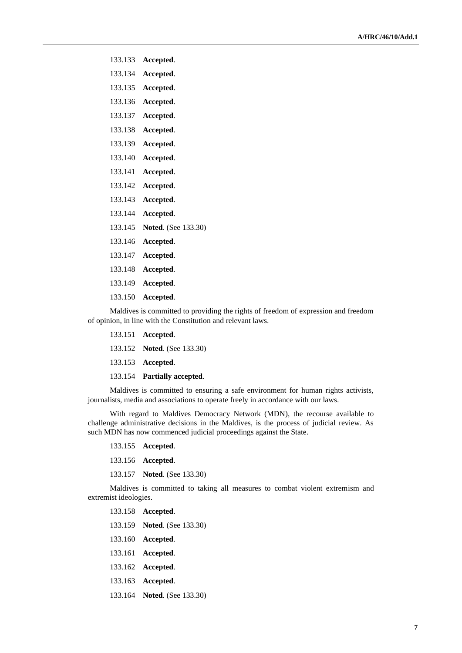- 133.133 **Accepted**.
- 133.134 **Accepted**.
- 133.135 **Accepted**.
- 133.136 **Accepted**.
- 133.137 **Accepted**.
- 133.138 **Accepted**.
- 133.139 **Accepted**.
- 133.140 **Accepted**.
- 133.141 **Accepted**.
- 133.142 **Accepted**.
- 133.143 **Accepted**.
- 133.144 **Accepted**.
- 133.145 **Noted**. (See 133.30)
- 133.146 **Accepted**.
- 133.147 **Accepted**.
- 133.148 **Accepted**.
- 133.149 **Accepted**.
- 133.150 **Accepted**.

Maldives is committed to providing the rights of freedom of expression and freedom of opinion, in line with the Constitution and relevant laws.

- 133.151 **Accepted**.
- 133.152 **Noted**. (See 133.30)
- 133.153 **Accepted**.
- 133.154 **Partially accepted**.

Maldives is committed to ensuring a safe environment for human rights activists, journalists, media and associations to operate freely in accordance with our laws.

With regard to Maldives Democracy Network (MDN), the recourse available to challenge administrative decisions in the Maldives, is the process of judicial review. As such MDN has now commenced judicial proceedings against the State.

- 133.155 **Accepted**.
- 133.156 **Accepted**.
- 133.157 **Noted**. (See 133.30)

Maldives is committed to taking all measures to combat violent extremism and extremist ideologies.

## 133.158 **Accepted**. 133.159 **Noted**. (See 133.30) 133.160 **Accepted**. 133.161 **Accepted**. 133.162 **Accepted**.

- 133.163 **Accepted**.
- 133.164 **Noted**. (See 133.30)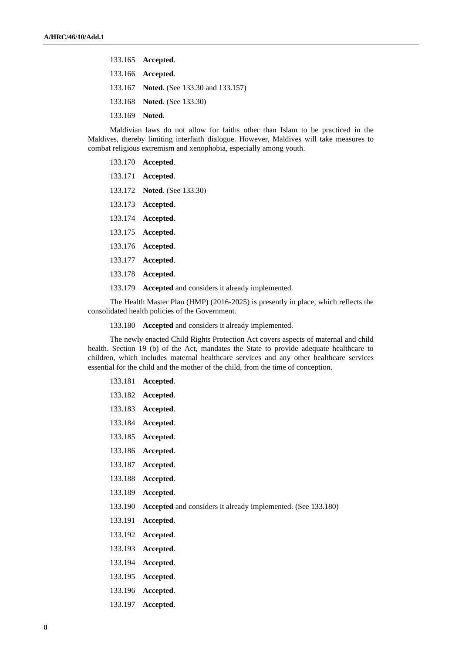|                | 133.165 Accepted.                       |
|----------------|-----------------------------------------|
|                | 133.166 Accepted.                       |
|                | 133.167 Noted. (See 133.30 and 133.157) |
|                | 133.168 Noted. (See 133.30)             |
| 133.169 Noted. |                                         |
|                |                                         |

Maldivian laws do not allow for faiths other than Islam to be practiced in the Maldives, thereby limiting interfaith dialogue. However, Maldives will take measures to combat religious extremism and xenophobia, especially among youth.

| 133.170 <b>Accepted</b> .                              |
|--------------------------------------------------------|
| 133.171 <b>Accepted</b> .                              |
| 133.172 Noted. (See 133.30)                            |
| 133.173 <b>Accepted.</b>                               |
| 133.174 <b>Accepted.</b>                               |
| 133.175 Accepted.                                      |
| 133.176 <b>Accepted</b> .                              |
| 133.177 <b>Accepted.</b>                               |
| 133.178 <b>Accepted.</b>                               |
| 133.179 Accepted and considers it already implemented. |

The Health Master Plan (HMP) (2016-2025) is presently in place, which reflects the consolidated health policies of the Government.

133.180 **Accepted** and considers it already implemented.

The newly enacted Child Rights Protection Act covers aspects of maternal and child health. Section 19 (b) of the Act, mandates the State to provide adequate healthcare to children, which includes maternal healthcare services and any other healthcare services essential for the child and the mother of the child, from the time of conception.

| 133.181 | Accepted.                                                    |
|---------|--------------------------------------------------------------|
| 133.182 | Accepted.                                                    |
| 133.183 | Accepted.                                                    |
| 133.184 | Accepted.                                                    |
| 133.185 | Accepted.                                                    |
| 133.186 | Accepted.                                                    |
| 133.187 | Accepted.                                                    |
| 133.188 | Accepted.                                                    |
| 133.189 | Accepted.                                                    |
| 133.190 | Accepted and considers it already implemented. (See 133.180) |
| 133.191 | Accepted.                                                    |
| 133.192 | Accepted.                                                    |
| 133.193 | Accepted.                                                    |
| 133.194 | Accepted.                                                    |
| 133.195 | Accepted.                                                    |
| 133.196 | Accepted.                                                    |
| 133.197 | Accepted.                                                    |
|         |                                                              |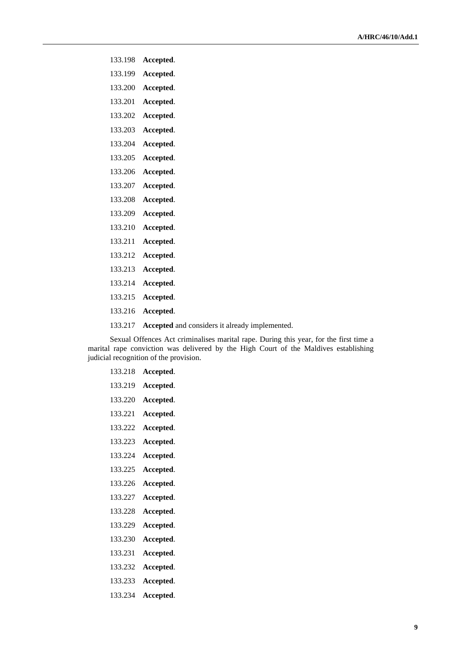| 133.198 | Accepted.                                      |
|---------|------------------------------------------------|
| 133.199 | Accepted.                                      |
| 133.200 | Accepted.                                      |
| 133.201 | Accepted.                                      |
| 133.202 | Accepted.                                      |
| 133.203 | Accepted.                                      |
| 133.204 | Accepted.                                      |
| 133.205 | Accepted.                                      |
| 133.206 | Accepted.                                      |
| 133.207 | Accepted.                                      |
| 133.208 | Accepted.                                      |
| 133.209 | Accepted.                                      |
| 133.210 | Accepted.                                      |
| 133.211 | Accepted.                                      |
| 133.212 | Accepted.                                      |
| 133.213 | Accepted.                                      |
| 133.214 | Accepted.                                      |
| 133.215 | Accepted.                                      |
| 133.216 | Accepted.                                      |
| 133.217 | Accepted and considers it already implemented. |

Sexual Offences Act criminalises marital rape. During this year, for the first time a marital rape conviction was delivered by the High Court of the Maldives establishing judicial recognition of the provision.

| 133.218 | Accepted. |
|---------|-----------|
| 133.219 | Accepted. |
| 133.220 | Accepted. |
| 133.221 | Accepted. |
| 133.222 | Accepted. |
| 133.223 | Accepted. |
| 133.224 | Accepted. |
| 133.225 | Accepted. |
| 133.226 | Accepted. |
| 133.227 | Accepted. |
| 133.228 | Accepted. |
| 133.229 | Accepted. |
| 133.230 | Accepted. |
| 133.231 | Accepted. |
| 133.232 | Accepted. |
| 133.233 | Accepted. |
| 133.234 | Accepted. |